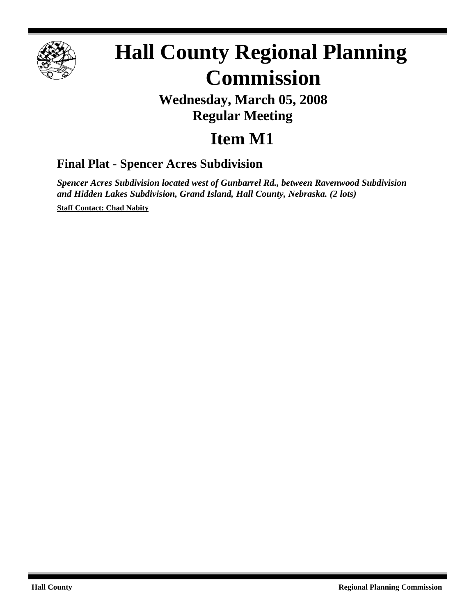

# **Hall County Regional Planning Commission**

## **Wednesday, March 05, 2008 Regular Meeting**

# **Item M1**

### **Final Plat - Spencer Acres Subdivision**

*Spencer Acres Subdivision located west of Gunbarrel Rd., between Ravenwood Subdivision and Hidden Lakes Subdivision, Grand Island, Hall County, Nebraska. (2 lots)*

**Staff Contact: Chad Nabity**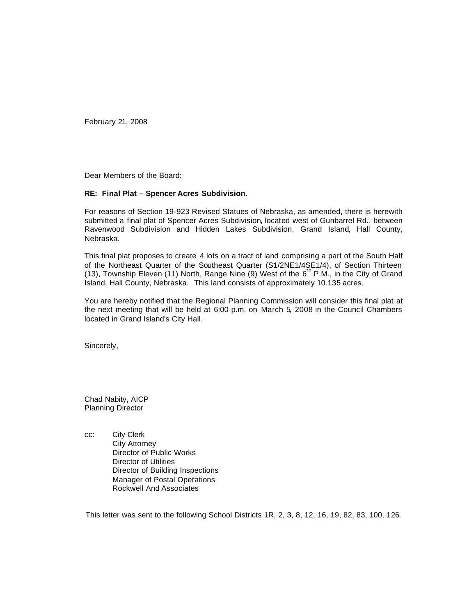February 21, 2008

Dear Members of the Board:

#### **RE: Final Plat – Spencer Acres Subdivision.**

For reasons of Section 19-923 Revised Statues of Nebraska, as amended, there is herewith submitted a final plat of Spencer Acres Subdivision, located west of Gunbarrel Rd., between Ravenwood Subdivision and Hidden Lakes Subdivision, Grand Island, Hall County, Nebraska.

This final plat proposes to create 4 lots on a tract of land comprising a part of the South Half of the Northeast Quarter of the Southeast Quarter (S1/2NE1/4SE1/4), of Section Thirteen (13), Township Eleven (11) North, Range Nine (9) West of the  $6^{th}$  P.M., in the City of Grand Island, Hall County, Nebraska. This land consists of approximately 10.135 acres.

You are hereby notified that the Regional Planning Commission will consider this final plat at the next meeting that will be held at 6:00 p.m. on March 5, 2008 in the Council Chambers located in Grand Island's City Hall.

Sincerely,

Chad Nabity, AICP Planning Director

cc: City Clerk City Attorney Director of Public Works Director of Utilities Director of Building Inspections Manager of Postal Operations Rockwell And Associates

This letter was sent to the following School Districts 1R, 2, 3, 8, 12, 16, 19, 82, 83, 100, 126.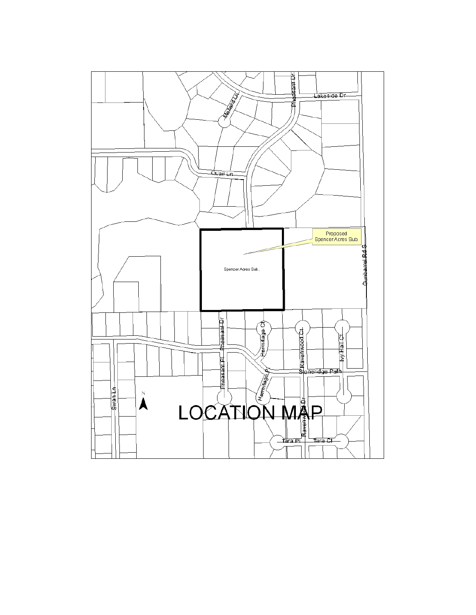